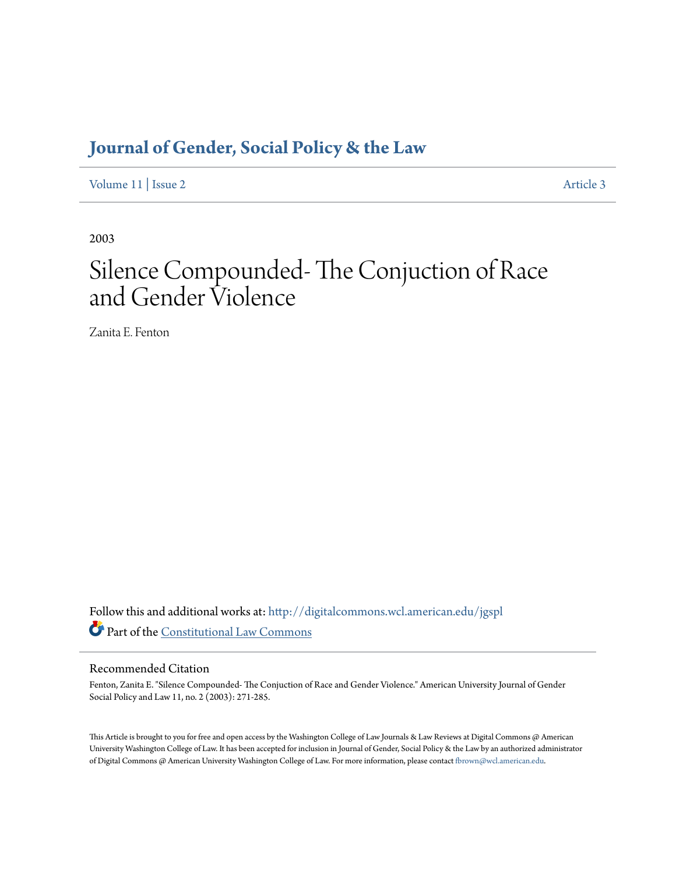# **[Journal of Gender, Social Policy & the Law](http://digitalcommons.wcl.american.edu/jgspl?utm_source=digitalcommons.wcl.american.edu%2Fjgspl%2Fvol11%2Fiss2%2F3&utm_medium=PDF&utm_campaign=PDFCoverPages)**

[Volume 11](http://digitalcommons.wcl.american.edu/jgspl/vol11?utm_source=digitalcommons.wcl.american.edu%2Fjgspl%2Fvol11%2Fiss2%2F3&utm_medium=PDF&utm_campaign=PDFCoverPages) | [Issue 2](http://digitalcommons.wcl.american.edu/jgspl/vol11/iss2?utm_source=digitalcommons.wcl.american.edu%2Fjgspl%2Fvol11%2Fiss2%2F3&utm_medium=PDF&utm_campaign=PDFCoverPages) [Article 3](http://digitalcommons.wcl.american.edu/jgspl/vol11/iss2/3?utm_source=digitalcommons.wcl.american.edu%2Fjgspl%2Fvol11%2Fiss2%2F3&utm_medium=PDF&utm_campaign=PDFCoverPages)

2003

# Silence Compounded- The Conjuction of Race and Gender Violence

Zanita E. Fenton

Follow this and additional works at: [http://digitalcommons.wcl.american.edu/jgspl](http://digitalcommons.wcl.american.edu/jgspl?utm_source=digitalcommons.wcl.american.edu%2Fjgspl%2Fvol11%2Fiss2%2F3&utm_medium=PDF&utm_campaign=PDFCoverPages) Part of the [Constitutional Law Commons](http://network.bepress.com/hgg/discipline/589?utm_source=digitalcommons.wcl.american.edu%2Fjgspl%2Fvol11%2Fiss2%2F3&utm_medium=PDF&utm_campaign=PDFCoverPages)

### Recommended Citation

Fenton, Zanita E. "Silence Compounded- The Conjuction of Race and Gender Violence." American University Journal of Gender Social Policy and Law 11, no. 2 (2003): 271-285.

This Article is brought to you for free and open access by the Washington College of Law Journals & Law Reviews at Digital Commons @ American University Washington College of Law. It has been accepted for inclusion in Journal of Gender, Social Policy & the Law by an authorized administrator of Digital Commons @ American University Washington College of Law. For more information, please contact [fbrown@wcl.american.edu.](mailto:fbrown@wcl.american.edu)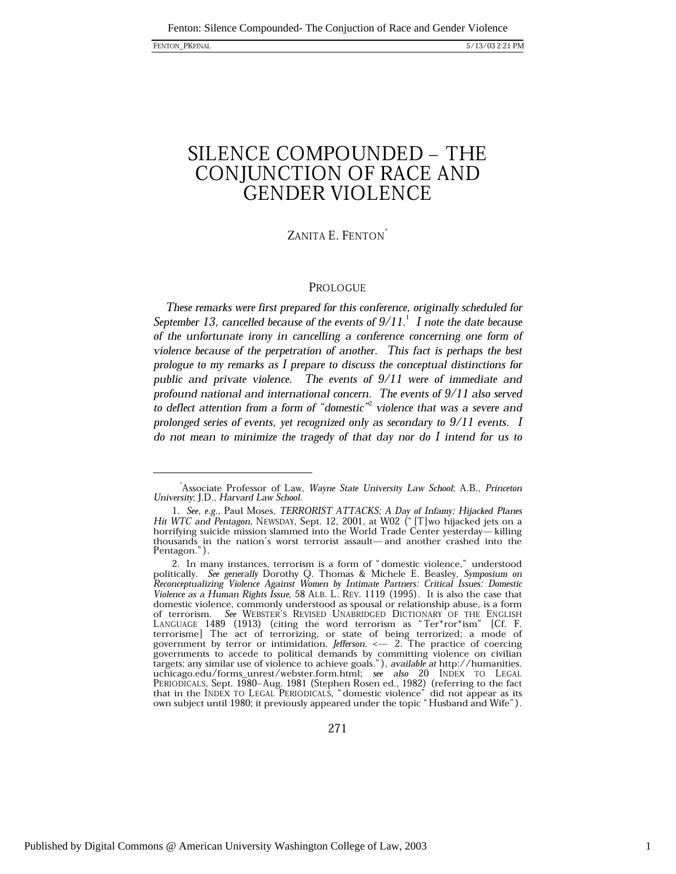## SILENCE COMPOUNDED - THE CONJUNCTION OF RACE AND **GENDER VIOLENCE**

### ZANITA E. FENTON

### PROLOGUE

These remarks were first prepared for this conference, originally scheduled for September 13, cancelled because of the events of  $9/11$ .<sup>1</sup> I note the date because of the unfortunate irony in cancelling a conference concerning one form of violence because of the perpetration of another. This fact is perhaps the best prologue to my remarks as I prepare to discuss the conceptual distinctions for public and private violence. The events of  $9/11$  were of immediate and profound national and international concern. The events of 9/11 also served to deflect attention from a form of "domestic" violence that was a severe and prolonged series of events, yet recognized only as secondary to  $9/11$  events. I do not mean to minimize the tragedy of that day nor do I intend for us to

Associate Professor of Law, Wayne State University Law School; A.B., Princeton University; J.D., Harvard Law School.

<sup>1.</sup> See, e.g., Paul Moses, TERRORIST ATTACKS; A Day of Infamy; Hijacked Planes Hit WTC and Pentagon, NEWSDAY, Sept. 12, 2001, at W02 ("[T]wo hijacked jets on a horrifying suicide mission slammed into the World Trade Center yesterday-killing thousands in the nation's worst terrorist assault—and another crashed into the Pentagon.").

<sup>2.</sup> In many instances, terrorism is a form of "domestic violence," understood politically. See generally Dorothy Q. Thomas & Michele E. Beasley, Symposium on Reconceptualizing Violence Against Women by Intimate Partners: Critical Issues: Domestic Violence as a Human Rights Issue, 58 ALB. L. REV. 1119 (1995). It is also the case that domestic violence, commonly understood as spousal or relationship abuse, is a form of terrorism. See WEBSTER'S REVISED UNABRIDGED DICTIONARY OF THE ENGLISH LANGUAGE 1489 (1913) (citing the word terrorism as "Ter\*ror\*ism" [Cf. F. terrorisme] The act of terrorizing, or state of being terrorized; a mode of government by terror or intimidation. *Jefferson*. <— 2. The practice of governments to accede to political demands by committing violence on civilian targets; any similar use of violence to achieve goals."), *available at* http://humanities.<br>uchicago.edu/forms\_unrest/webster.form.html; see als PERIODICALS, Sept. 1980–Aug. 1981 (Stephen Rosen ed., 1982) (referring to the fact<br>that in the INDEX TO LEGAL PERIODICALS, "domestic violence" did not appear as its<br>own subject until 1980; it previously appeared under the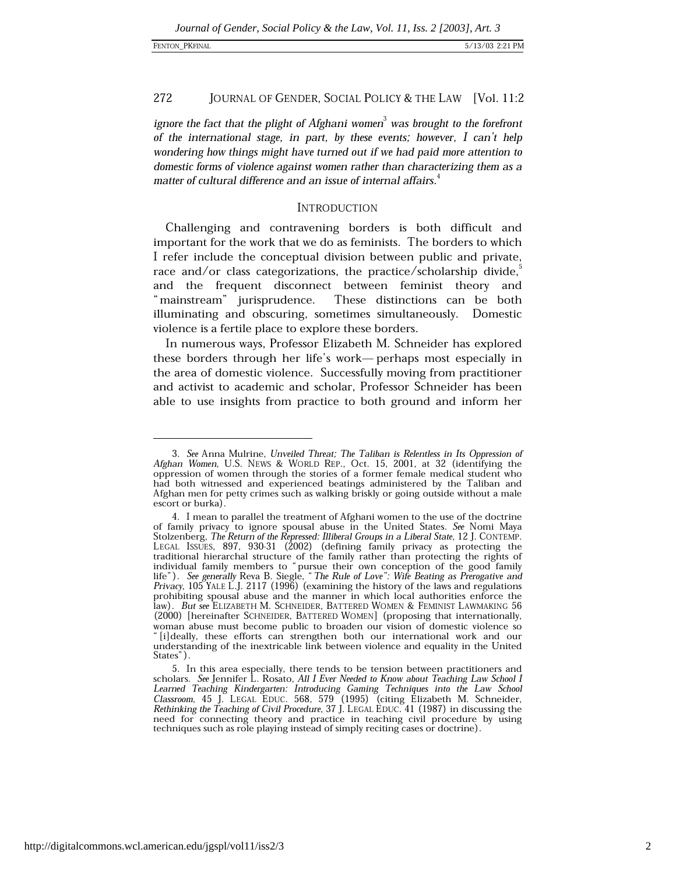ignore the fact that the plight of Afghani women<sup>3</sup> was brought to the forefront of the international stage, in part, by these events; however, I can't help wondering how things might have turned out if we had paid more attention to domestic forms of violence against women rather than characterizing them as a matter of cultural difference and an issue of internal affairs.<sup>4</sup>

### **INTRODUCTION**

Challenging and contravening borders is both difficult and important for the work that we do as feminists. The borders to which I refer include the conceptual division between public and private, race and/or class categorizations, the practice/scholarship divide, $\degree$ and the frequent disconnect between feminist theory and "mainstream" jurisprudence. These distinctions can be both illuminating and obscuring, sometimes simultaneously. Domestic violence is a fertile place to explore these borders.

In numerous ways, Professor Elizabeth M. Schneider has explored these borders through her life's work-perhaps most especially in the area of domestic violence. Successfully moving from practitioner and activist to academic and scholar, Professor Schneider has been able to use insights from practice to both ground and inform her

<sup>3.</sup> See Anna Mulrine, Unveiled Threat; The Taliban is Relentless in Its Oppression of Afghan Women, U.S. NEWS & WORLD REP., Oct. 15, 2001, at 32 (identifying the oppression of women through the stories of a former female medical student who had both witnessed and experienced beatings administered by the Taliban and Afghan men for petty crimes such as walking briskly or going outside without a male escort or burka)

<sup>4.</sup> I mean to parallel the treatment of Afghani women to the use of the doctrine of family privacy to ignore spousal abuse in the United States. See Nomi Maya Stolzenberg, The Return of the Repressed: Illiberal Groups in a Liberal State, 12 J. CONTEMP. LEGAL ISSUES, 897, 930-31 (2002) (defining family privacy as protecting the traditional hierarchal structure of the family rather than protecting the rights of individual family members to "pursue their own conception of the good family<br>life"). See generally Reva B. Siegle, "The Rule of Love": Wife Beating as Prerogative and Privacy, 105 YALE L.J. 2117 (1996) (examining the history of the laws and regulations prohibiting spousal abuse and the manner in which local authorities enforce the law). But see ELIZABETH M. SCHNEIDER, BATTERED WOMEN & FEMINIST LAWMAKING 56 (2000) [hereinafter SCHNEIDER, BATTERED WOMEN] (proposing that internationally, woman abuse must become public to broaden our vision of domestic violence so "[i]deally, these efforts can strengthen both our international work and our understanding of the inextricable link between violence and equality in the United States").

<sup>5.</sup> In this area especially, there tends to be tension between practitioners and scholars. See Jennifer L. Rosato, All I Ever Needed to Know about Teaching Law School I Learned Teaching Kindergarten: Introducing Gaming Techniques into the Law School Classroom, 45 J. LEGAL EDUC. 568, 579 (1995) (citing Elizabeth M. Schneider, Rethinking the Teaching of Civil Procedure, 37 J. LEGAL EDUC. 41 need for connecting theory and practice in teaching civil procedure by using techniques such as role playing instead of simply reciting cases or doctrine).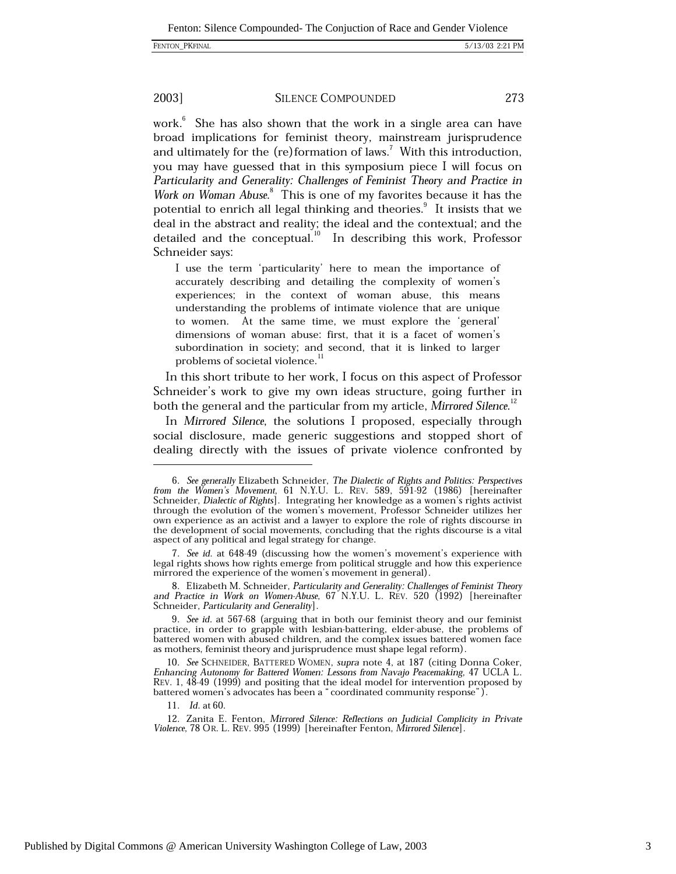### 2003]

### **SILENCE COMPOUNDED**

273

work.<sup>6</sup> She has also shown that the work in a single area can have broad implications for feminist theory, mainstream jurisprudence and ultimately for the  $(re)$  formation of laws.<sup>7</sup> With this introduction, you may have guessed that in this symposium piece I will focus on Particularity and Generality: Challenges of Feminist Theory and Practice in Work on Woman Abuse.<sup>8</sup> This is one of my favorites because it has the potential to enrich all legal thinking and theories.<sup>9</sup> It insists that we deal in the abstract and reality; the ideal and the contextual; and the detailed and the conceptual.<sup>10</sup> In describing this work, Professor Schneider says:

I use the term 'particularity' here to mean the importance of accurately describing and detailing the complexity of women's experiences; in the context of woman abuse, this means understanding the problems of intimate violence that are unique to women. At the same time, we must explore the 'general' dimensions of woman abuse: first, that it is a facet of women's subordination in society; and second, that it is linked to larger problems of societal violence.<sup>11</sup>

In this short tribute to her work, I focus on this aspect of Professor Schneider's work to give my own ideas structure, going further in both the general and the particular from my article, Mirrored Silence.<sup>12</sup>

In Mirrored Silence, the solutions I proposed, especially through social disclosure, made generic suggestions and stopped short of dealing directly with the issues of private violence confronted by

<sup>6.</sup> See generally Elizabeth Schneider, The Dialectic of Rights and Politics: Perspectives from the Women's Movement, 61 N.Y.U. L. REV. 589, 591-92 (1986) [hereinafter Schneider, Dialectic of Rights]. Integrating her knowled through the evolution of the women's movement, Professor Schneider utilizes her own experience as an activist and a lawyer to explore the role of rights discourse in the development of social movements, concluding that the rights discourse is a vital aspect of any political and legal strategy for change.

<sup>7.</sup> See id. at 648-49 (discussing how the women's movement's experience with legal rights shows how rights emerge from political struggle and how this experience mirrored the experience of the women's movement in general).

<sup>8.</sup> Elizabeth M. Schneider, Particularity and Generality: Challenges of Feminist Theory and Practice in Work on Women-Abuse, 67 N.Y.U. L. REV. 520 (1992) [hereinafter Schneider, Particularity and Generality].

<sup>9.</sup> See id. at 567-68 (arguing that in both our feminist theory and our feminist practice, in order to grapple with lesbian-battering, elder-abuse, the problems of battered women with abused children, and the complex issues battered women face as mothers, feminist theory and jurisprudence must shape legal reform).

<sup>10.</sup> See SCHNEIDER, BATTERED WOMEN, supra note 4, at 187 (citing Donna Coker, Enhancing Autonomy for Battered Women: Lessons from Navajo Peacemaking, 47 UCLA L. REV. 1, 48-49 (1999) and positing that the ideal model for intervention proposed by battered women's advocates has been a "coordinated community response").

<sup>11.</sup> *Id.* at 60.

<sup>12.</sup> Zanita E. Fenton, Mirrored Silence: Reflections on Judicial Complicity in Private Violence, 78 OR. L. REV. 995 (1999) [hereinafter Fenton, Mirrored Silence].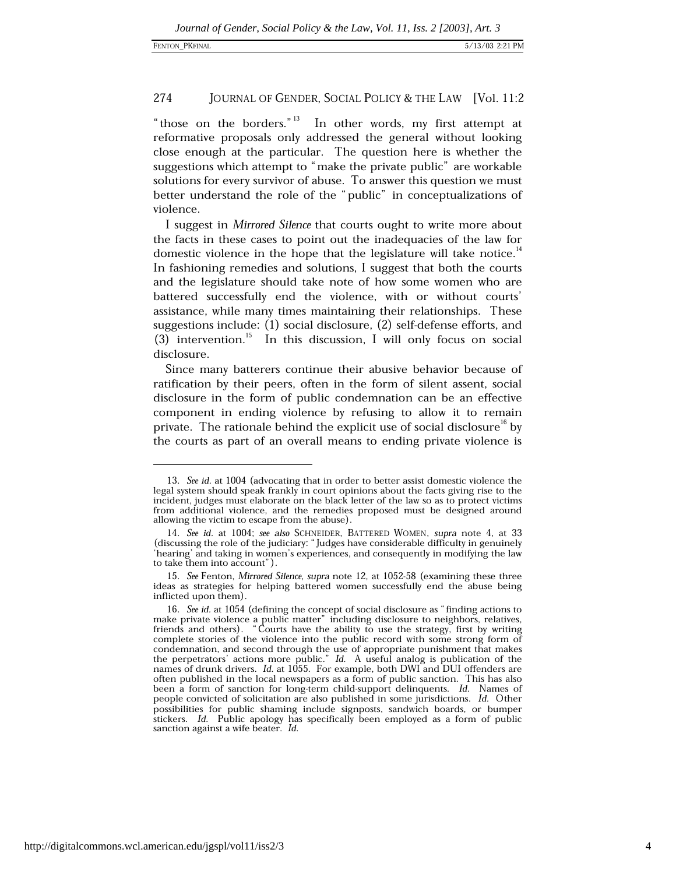"those on the borders."<sup>13</sup> In other words, my first attempt at reformative proposals only addressed the general without looking close enough at the particular. The question here is whether the suggestions which attempt to "make the private public" are workable solutions for every survivor of abuse. To answer this question we must better understand the role of the "public" in conceptualizations of violence.

I suggest in Mirrored Silence that courts ought to write more about the facts in these cases to point out the inadequacies of the law for domestic violence in the hope that the legislature will take notice.<sup>14</sup> In fashioning remedies and solutions, I suggest that both the courts and the legislature should take note of how some women who are battered successfully end the violence, with or without courts' assistance, while many times maintaining their relationships. These suggestions include: (1) social disclosure, (2) self-defense efforts, and (3) intervention.<sup>15</sup> In this discussion, I will only focus on social disclosure.

Since many batterers continue their abusive behavior because of ratification by their peers, often in the form of silent assent, social disclosure in the form of public condemnation can be an effective component in ending violence by refusing to allow it to remain private. The rationale behind the explicit use of social disclosure<sup>16</sup> by the courts as part of an overall means to ending private violence is

<sup>13.</sup> See id. at 1004 (advocating that in order to better assist domestic violence the legal system should speak frankly in court opinions about the facts giving rise to the incident, judges must elaborate on the black letter of the law so as to protect victims from additional violence, and the remedies proposed must be designed around allowing the victim to escape from the abuse).

<sup>14.</sup> See id. at 1004; see also SCHNEIDER, BATTERED WOMEN, supra note 4, at 33 (discussing the role of the judiciary: "Judges have considerable difficulty in genuinely 'hearing' and taking in women's experiences, and consequently in modifying the law to take them into account").

<sup>15.</sup> See Fenton, Mirrored Silence, supra note 12, at 1052-58 (examining these three ideas as strategies for helping battered women successfully end the abuse being inflicted upon them).

<sup>16.</sup> See id. at 1054 (defining the concept of social disclosure as "finding actions to make private violence a public matter" including disclosure to neighbors, relatives, friends and others). "Courts have the ability to use the strategy, first by writing complete stories of the violence into the public record with some strong form of condemnation, and second through the use of appropriate punishment that makes<br>the perpetrators' actions more public." Id. A useful analog is publication of the<br>names of drunk drivers. Id. at 1055. For example, both DWI an often published in the local newspapers as a form of public sanction. This has also been a form of sanction for long-term child-support delinquents. Id. Names of people convicted of solicitation are also published in some jurisdictions. Id. Other possibilities for public shaming include signposts, sandwich boards, or bumper stickers. Id. Public apology has specifically been employed as a form of public sanction against a wife beater. Id.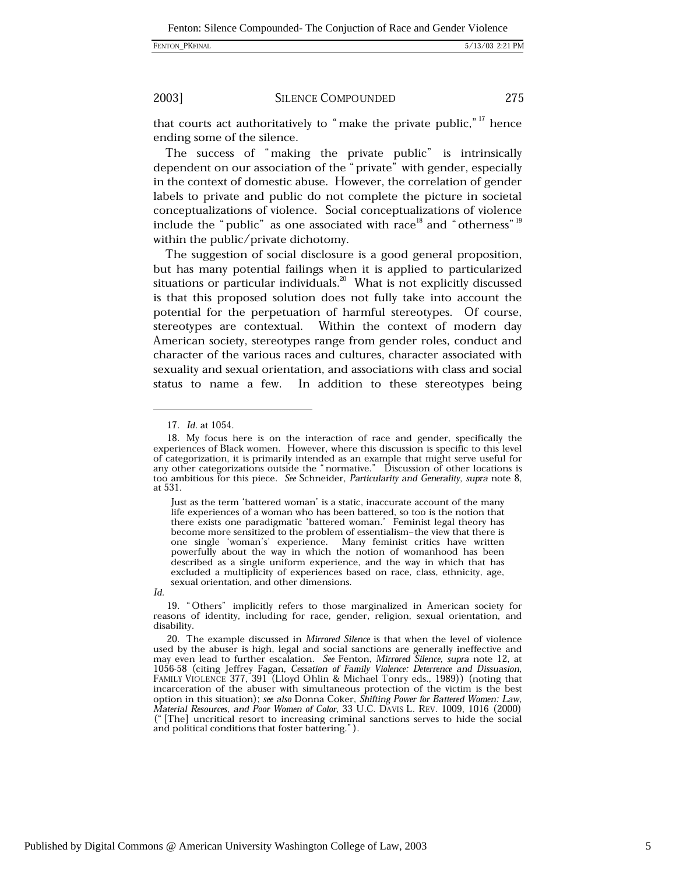### FENTON\_PKFINAL

### 5/13/03 2:21 PM

### 2003]

### **SILENCE COMPOUNDED**

275

that courts act authoritatively to "make the private public,"<sup>17</sup> hence ending some of the silence.

The success of "making the private public" is intrinsically dependent on our association of the "private" with gender, especially in the context of domestic abuse. However, the correlation of gender labels to private and public do not complete the picture in societal conceptualizations of violence. Social conceptualizations of violence include the "public" as one associated with race<sup>18</sup> and "otherness"<sup>19</sup> within the public/private dichotomy.

The suggestion of social disclosure is a good general proposition, but has many potential failings when it is applied to particularized situations or particular individuals. $^{20}$  What is not explicitly discussed is that this proposed solution does not fully take into account the potential for the perpetuation of harmful stereotypes. Of course, stereotypes are contextual. Within the context of modern day American society, stereotypes range from gender roles, conduct and character of the various races and cultures, character associated with sexuality and sexual orientation, and associations with class and social status to name a few. In addition to these stereotypes being

Just as the term 'battered woman' is a static, inaccurate account of the many life experiences of a woman who has been battered, so too is the notion that there exists one paradigmatic 'battered woman.' Feminist legal theory has become more sensitized to the problem of essentialism-the view that there is one single 'woman's' experience. Many feminist critics have written powerfully about the way in which the notion of womanhood has been described as a single uniform experience, and the way in which that has excluded a multiplicity of experiences based on race, class, ethnicity, age, sexual orientation, and other dimensions.

Id.

19. "Others" implicitly refers to those marginalized in American society for reasons of identity, including for race, gender, religion, sexual orientation, and disability.

<sup>17.</sup> *Id.* at 1054.

<sup>18.</sup> My focus here is on the interaction of race and gender, specifically the experiences of Black women. However, where this discussion is specific to this level of categorization, it is primarily intended as an example that might serve useful for any other categorizations outside the "normative." Discussion of other locations is too ambitious for this piece. See Schneider, Particularity and Generality, supra note 8, at 531.

<sup>20.</sup> The example discussed in Mirrored Silence is that when the level of violence used by the abuser is high, legal and social sanctions are generally ineffective and may even lead to further escalation. See Fenton, Mirrored Silence, supra note 12, at 1056-58 (citing Jeffrey Fagan, Cessation of Family Violence: Deterrence and Dissuasion, FAMILY VIOLENCE 377, 391 (Lloyd Ohlin & Michael Tonry eds., 1989)) (noting that incarceration of the abuser with simultaneous protection of the victim is the best option in this situation); see also Donna Coker, Shifting Power for Battered Women: Law, Material Resources, and Poor Women of Color, 33 U.C. DAVIS L. REV. 1009, 1016 (2000) ("The] uncritical resort to increasing criminal sanctions serves to hide the social and political conditions that foster battering.").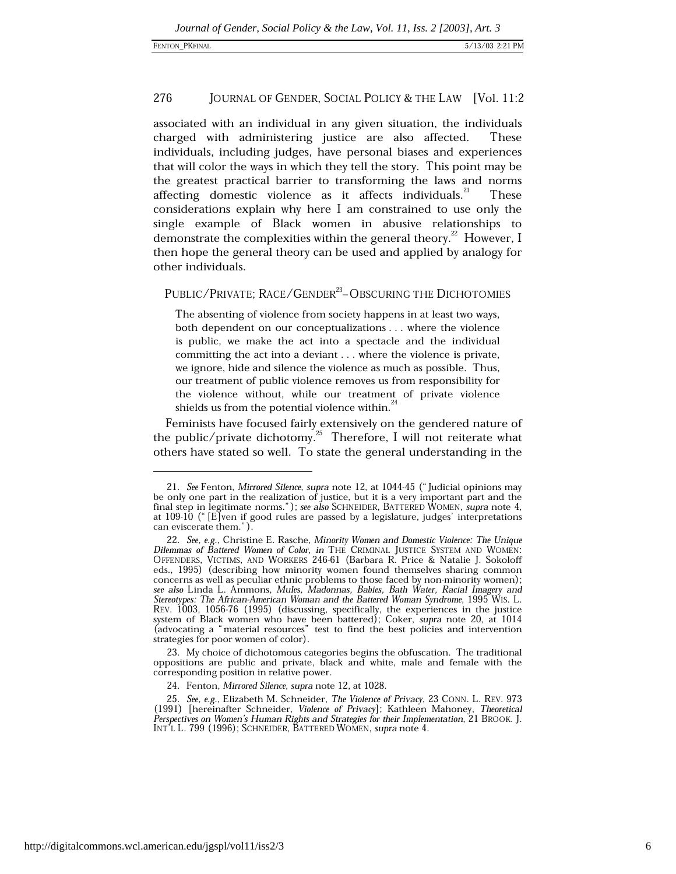associated with an individual in any given situation, the individuals charged with administering justice are also affected. These individuals, including judges, have personal biases and experiences that will color the ways in which they tell the story. This point may be the greatest practical barrier to transforming the laws and norms affecting domestic violence as it affects individuals.<sup>21</sup> **These** considerations explain why here I am constrained to use only the single example of Black women in abusive relationships to demonstrate the complexities within the general theory.<sup>22</sup> However, I then hope the general theory can be used and applied by analogy for other individuals.

### PUBLIC/PRIVATE: RACE/GENDER<sup>23</sup>-OBSCURING THE DICHOTOMIES

The absenting of violence from society happens in at least two ways, both dependent on our conceptualizations . . . where the violence is public, we make the act into a spectacle and the individual committing the act into a deviant . . . where the violence is private, we ignore, hide and silence the violence as much as possible. Thus, our treatment of public violence removes us from responsibility for the violence without, while our treatment of private violence shields us from the potential violence within.<sup>24</sup>

Feminists have focused fairly extensively on the gendered nature of the public/private dichotomy.<sup>25</sup> Therefore, I will not reiterate what others have stated so well. To state the general understanding in the

23. My choice of dichotomous categories begins the obfuscation. The traditional oppositions are public and private, black and white, male and female with the corresponding position in relative power.

<sup>21.</sup> See Fenton, Mirrored Silence, supra note 12, at 1044-45 ("Judicial opinions may be only one part in the realization of justice, but it is a very important part and the final step in legitimate norms."); see also SCHNEIDER, BATTERED WOMEN, supra note 4, at  $109-10$  (" $E$  ven if good rules are passed by a legislature, judges' interpretations can eviscerate them.").

<sup>22.</sup> See, e.g., Christine E. Rasche, Minority Women and Domestic Violence: The Unique Dilemmas of Battered Women of Color, in THE CRIMINAL JUSTICE SYSTEM AND WOMEN: OFFENDERS, VICTIMS, AND WORKERS 246-61 (Barbara R. Price & Natalie J. Sokoloff<br>eds., 1995) (describing how minority women found themselves sharing common concerns as well as peculiar ethnic problems to those faced by non-minority women); see also Linda L. Ammons, Mules, Madonnas, Babies, Bath Water, Racial Imagery and Stereotypes: The African-American Woman and the Battered Woman Syndrome, 1995 WIS. L. REV. 1003, 1056-76 (1995) (discussing, specifically, the experiences in the justice system of Black women who have been battered); Coker, supra note 20, at 1014 (advocating a "material resources" test to find the best policies and intervention strategies for poor women of color).

<sup>24.</sup> Fenton, Mirrored Silence, supra note 12, at 1028.

<sup>25.</sup> See, e.g., Elizabeth M. Schneider, The Violence of Privacy, 23 CONN. L. REV. 973 (1991) [hereinafter Schneider, Violence of Privacy]; Kathleen Mahoney, Theoretical Perspectives on Women's Human Rights and Strategies for their Implementation, 21 BROOK. J. INT'L L. 799 (1996); SCHNEIDER, BATTERED WOMEN, supra note 4.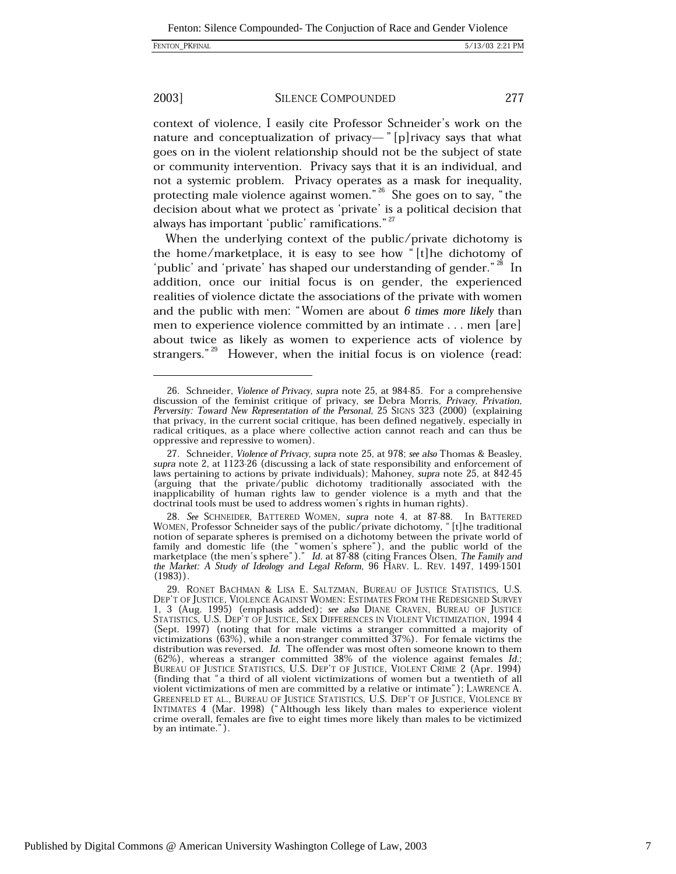### 2003]

**SILENCE COMPOUNDED** 

277

context of violence, I easily cite Professor Schneider's work on the nature and conceptualization of privacy—" [p] rivacy says that what goes on in the violent relationship should not be the subject of state or community intervention. Privacy says that it is an individual, and not a systemic problem. Privacy operates as a mask for inequality, protecting male violence against women." $26$  She goes on to say, "the decision about what we protect as 'private' is a political decision that always has important 'public' ramifications."<sup>27</sup>

When the underlying context of the public/private dichotomy is the home/marketplace, it is easy to see how "[t] he dichotomy of 'public' and 'private' has shaped our understanding of gender."<sup>28</sup> In addition, once our initial focus is on gender, the experienced realities of violence dictate the associations of the private with women and the public with men: "Women are about  $6$  times more likely than men to experience violence committed by an intimate . . . men [are] about twice as likely as women to experience acts of violence by strangers." $^{29}$  However, when the initial focus is on violence (read:

<sup>26.</sup> Schneider, Violence of Privacy, supra note 25, at 984-85. For a comprehensive discussion of the feminist critique of privacy, see Debra Morris, Privacy, Privation, Perversity: Toward New Representation of the Personal, 25 SIGNS 323 (2000) (explaining that privacy, in the current social critique, has been defined negatively, especially in radical critiques, as a place where collective action cannot reach and can thus be oppressive and repressive to women).

<sup>27.</sup> Schneider, Violence of Privacy, supra note 25, at 978; see also Thomas & Beasley, supra note 2, at 1123-26 (discussing a lack of state responsibility and enforcement of laws pertaining to actions by private individuals); Mahoney, supra note 25, at 842-45 (arguing that the private/public dichotomy traditionally associated with the inapplicability of human rights law to gender violence is a myth and that the doctrinal tools must be used to address women's rights in human rights).

<sup>28.</sup> See SCHNEIDER, BATTERED WOMEN, supra note 4, at 87-88. In BATTERED WOMEN, Professor Schneider says of the public/private dichotomy, "[t] he traditional notion of separate spheres is premised on a dichotomy between the private world of family and domestic life (the "women's sphere"), and the public world of the marketplace (the men's sphere")." Id. at 87-88 (citing Frances Olsen, The Family and the Market: A Study of Ideology and Legal Reform, 96 HARV. L. REV. 1497, 1499-1501  $(1983)$ .

<sup>29.</sup> RONET BACHMAN & LISA E. SALTZMAN, BUREAU OF JUSTICE STATISTICS, U.S. DEP'T OF JUSTICE, VIOLENCE AGAINST WOMEN: ESTIMATES FROM THE REDESIGNED SURVEY 1, 3 (Aug. 1995) (emphasis added); see also DIANE CRAVEN, BUREAU OF JUSTICE STATISTICS, U.S. DEP'T OF JUSTICE, SEX DIFFERENCES IN VIOLENT VICTIMIZATION, 1994 4 (Sept. 1997) (noting that for male victims a stranger committed a majority of victimizations (63%), while a non-stranger committed 37%). For female victims the distribution was reversed. Id. The offender was most often someone known to them (62%), whereas a stranger committed 38% of the violence against females Id.;<br>BUREAU OF JUSTICE STATISTICS, U.S. DEP'T OF JUSTICE, VIOLENT CRIME 2 (Apr. 1994) (finding that "a third of all violent victimizations of women but a twentieth of all violent victimizations of men are committed by a relative or intimate"); LAWRENCE A. GREENFELD ET AL., BUREAU OF JUSTICE STATISTICS, U.S. DEP'T OF JUSTICE, VIOLENCE BY INTIMATES 4 (Mar. 1998) ("Although less likely than males to experience violent crime overall, females are five to eight times more likely than males to be victimized by an intimate.").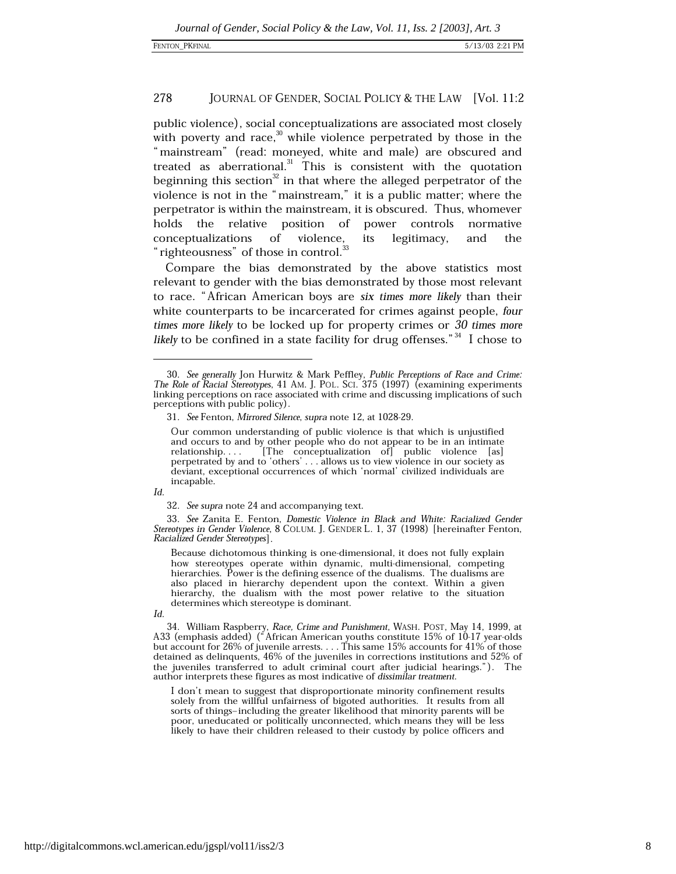public violence), social conceptualizations are associated most closely with poverty and race,<sup>30</sup> while violence perpetrated by those in the "mainstream" (read: moneyed, white and male) are obscured and treated as aberrational.<sup>31</sup> This is consistent with the quotation beginning this section<sup>32</sup> in that where the alleged perpetrator of the violence is not in the "mainstream," it is a public matter; where the perpetrator is within the mainstream, it is obscured. Thus, whomever holds the relative position of power controls normative conceptualizations of its violence. legitimacy. and the "righteousness" of those in control.<sup>33</sup>

Compare the bias demonstrated by the above statistics most relevant to gender with the bias demonstrated by those most relevant to race. "African American boys are six times more likely than their white counterparts to be incarcerated for crimes against people, four times more likely to be locked up for property crimes or 30 times more *likely* to be confined in a state facility for drug offenses."<sup>34</sup> I chose to

Id.

32. See supra note 24 and accompanying text.

33. See Zanita E. Fenton, Domestic Violence in Black and White: Racialized Gender Stereotypes in Gender Violence, 8 COLUM. J. GENDER L. 1, 37 (1998) [hereinafter Fenton, Racialized Gender Stereotypes].

Because dichotomous thinking is one-dimensional, it does not fully explain how stereotypes operate within dynamic, multi-dimensional, competing hierarchies. Power is the defining essence of the dualisms. The dualisms are also placed in hierarchy dependent upon the context. Within a given hierarchy, the dualism with the most power relative to the situation determines which stereotype is dominant.

I don't mean to suggest that disproportionate minority confinement results solely from the willful unfairness of bigoted authorities. It results from all sorts of things-including the greater likelihood that minority parents will be poor, uneducated or politically unconnected, which means they will be less likely to have their children released to their custody by police officers and

<sup>30.</sup> See generally Jon Hurwitz & Mark Peffley, Public Perceptions of Race and Crime:<br>The Role of Racial Stereotypes, 41 AM. J. POL. SCI. 375 (1997) (examining experiments linking perceptions on race associated with crime and discussing implications of such perceptions with public policy).

<sup>31.</sup> See Fenton, Mirrored Silence, supra note 12, at 1028-29.

Our common understanding of public violence is that which is unjustified and occurs to and by other people who do not appear to be in an intimate [The conceptualization of] public violence [as] relationship.... perpetrated by and to 'others' . . . allows us to view violence in our society as deviant, exceptional occurrences of which 'normal' civilized individuals are incapable.

Id.

<sup>34.</sup> William Raspberry, Race, Crime and Punishment, WASH. POST, May 14, 1999, at A33 (emphasis added) ("African American youths constitute 15% of 10-17 year-olds but account for 26% of juvenile arrests.  $\dots$  This same 15% accounts for 41% of those detained as delinquents, 46% of the juveniles in corrections institutions and 52% of the juveniles transferred to adult criminal court after judicial hearings."). The author interprets these figures as most indicative of dissimilar treatment.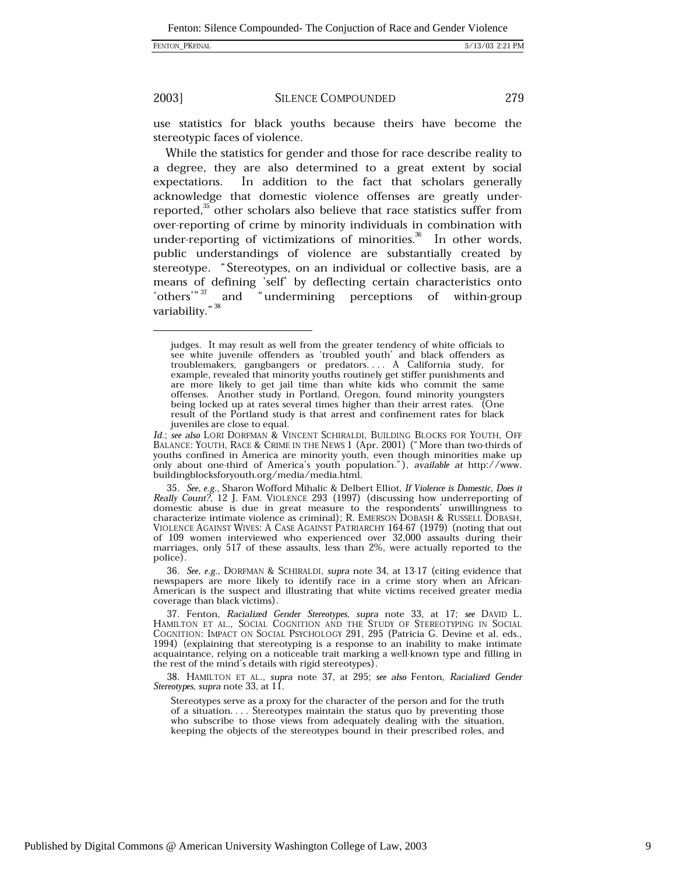### FENTON\_PKFINAL

### 2003]

### **SILENCE COMPOUNDED**

279

use statistics for black youths because theirs have become the stereotypic faces of violence.

While the statistics for gender and those for race describe reality to a degree, they are also determined to a great extent by social expectations. In addition to the fact that scholars generally acknowledge that domestic violence offenses are greatly underreported,<sup>35</sup> other scholars also believe that race statistics suffer from over-reporting of crime by minority individuals in combination with under-reporting of victimizations of minorities.<sup>36</sup> In other words, public understandings of violence are substantially created by stereotype. "Stereotypes, on an individual or collective basis, are a means of defining 'self' by deflecting certain characteristics onto and "undermining perceptions of within-group 'others'"  $37$ variability."<sup>38</sup>

Id.; see also LORI DORFMAN & VINCENT SCHIRALDI, BUILDING BLOCKS FOR YOUTH, OFF BALANCE: YOUTH, RACE & CRIME IN THE NEWS 1 (Apr. 2001) ("More than two-thirds of youths confined in America are minority youth, even though minorities make up only about one-third of America's youth population."), available at http://www. buildingblocksforyouth.org/media/media.html.

35. See, e.g., Sharon Wofford Mihalic & Delbert Elliot, If Violence is Domestic, Does it Really Count?, 12 J. FAM. VIOLENCE 293 (1997) (discussing how underreporting of domestic abuse is due in great measure to the respondents' unwillingness to characterize intimate violence as criminal); R. EMERSON DOBASH & RUSSELL DOBASH, VIOLENCE AGAINST WIVES: A CASE AGAINST PATRIARCHY 164-67 (1979) (noting that out of 109 women interviewed who experienced over 32,000 assaults during their marriages, only 517 of these assaults, less than 2%, were actually reported to the police).

36. See, e.g., DORFMAN & SCHIRALDI, supra note 34, at 13-17 (citing evidence that newspapers are more likely to identify race in a crime story when an African-American is the suspect and illustrating that white victims received greater media coverage than black victims).

37. Fenton, Racialized Gender Stereotypes, supra note 33, at 17; see DAVID L. HAMILTON ET AL., SOCIAL COGNITION AND THE STUDY OF STEREOTYPING IN SOCIAL COGNITION: IMPACT ON SOCIAL PSYCHOLOGY 291, 295 (Patricia G. Devine et al. eds., 1994) (explaining that stereotyping is a response to an inability to make intimate acquaintance, relying on a noticeable trait marking a well-known type and filling in the rest of the mind's details with rigid stereotypes)

38. HAMILTON ET AL., supra note 37, at 295; see also Fenton, Racialized Gender Stereotypes, supra note 33, at 11.

Stereotypes serve as a proxy for the character of the person and for the truth of a situation.... Stereotypes maintain the status quo by preventing those who subscribe to those views from adequately dealing with the situation, keeping the objects of the stereotypes bound in their prescribed roles, and

judges. It may result as well from the greater tendency of white officials to see white juvenile offenders as 'troubled youth' and black offenders as troublemakers, gangbangers or predators.... A California study, for example, revealed that minority youths routinely get stiffer punishments and are more likely to get jail time than white kids who commit the same<br>offenses. Another study in Portland, Oregon, found minority youngsters being locked up at rates several times higher than their arrest rates. (One result of the Portland study is that arrest and confinement rates for black juveniles are close to equal.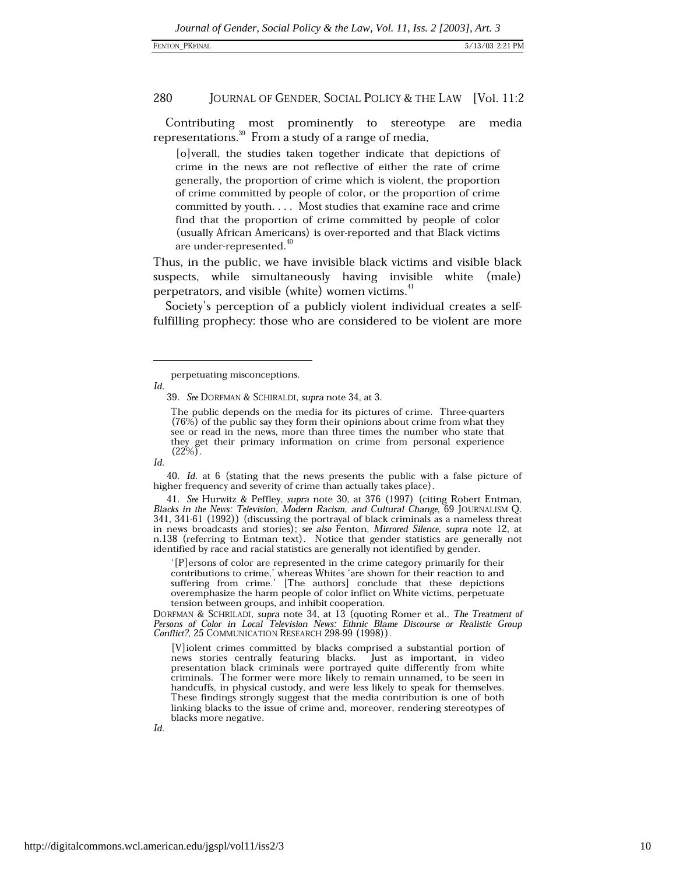Contributing most prominently to stereotype are media representations.<sup>39</sup> From a study of a range of media,

[o]verall, the studies taken together indicate that depictions of crime in the news are not reflective of either the rate of crime generally, the proportion of crime which is violent, the proportion of crime committed by people of color, or the proportion of crime committed by youth. . . . Most studies that examine race and crime find that the proportion of crime committed by people of color (usually African Americans) is over-reported and that Black victims are under-represented.<sup>40</sup>

Thus, in the public, we have invisible black victims and visible black suspects, while simultaneously having invisible white (male) perpetrators, and visible (white) women victims.<sup>41</sup>

Society's perception of a publicly violent individual creates a selffulfilling prophecy: those who are considered to be violent are more

Id.

Id.

40. Id. at 6 (stating that the news presents the public with a false picture of higher frequency and severity of crime than actually takes place).

41. See Hurwitz & Peffley, supra note 30, at 376 (1997) (citing Robert Entman, Blacks in the News: Television, Modern Racism, and Cultural Change, 69 JOURNALISM Q. 341, 341-61 (1992)) (discussing the portrayal of black criminals as a nameless threat in news broadcasts and stories); see also Fenton, Mirrored Silence, supra note 12, at n.138 (referring to Entman text). Notice that gender statistics are generally not identified by race and racial statistics are generally not identified by gender.

'[P] ersons of color are represented in the crime category primarily for their contributions to crime, whereas Whites 'are shown for their reaction to and suffering from crime.' [The authors] conclude that these depictions overemphasize the harm people of color inflict on White victims, perpetuate tension between groups, and inhibit cooperation.

DORFMAN & SCHRILADI, supra note 34, at 13 (quoting Romer et al., The Treatment of Persons of Color in Local Television News: Ethnic Blame Discourse or Realistic Group Conflict?, 25 COMMUNICATION RESEARCH 298-99 (1998)).

[V]iolent crimes committed by blacks comprised a substantial portion of news stories centrally featuring blacks. Just as important, in video presentation black criminals were portrayed quite differently from white criminals. The former were more likely to remain unnamed, to be seen in handcuffs, in physical custody, and were less likely to speak for themselves. These findings strongly suggest that the media contribution is one of both linking blacks to the issue of crime and, moreover, rendering stereotypes of blacks more negative.

Id.

perpetuating misconceptions.

<sup>39.</sup> See DORFMAN & SCHIRALDI, supra note 34, at 3.

The public depends on the media for its pictures of crime. Three-quarters (76%) of the public say they form their opinions about crime from what they see or read in the news, more than three times the number who state that they get their primary information on crime from personal experience  $(22\%)$ .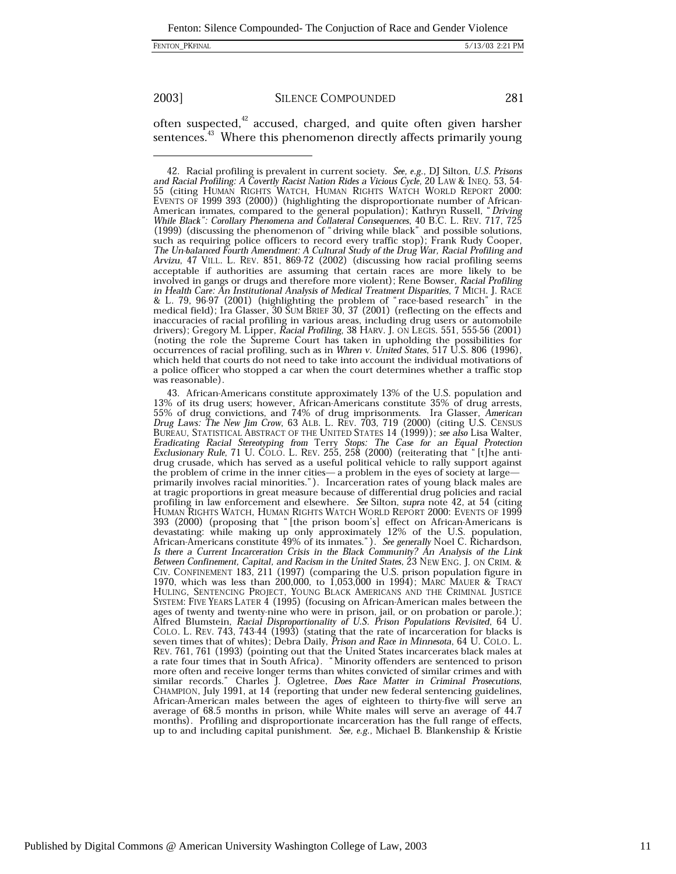Fenton: Silence Compounded-The Conjuction of Race and Gender Violence

FENTON\_PKFINAL

2003]

### **SILENCE COMPOUNDED**

281

often suspected,<sup>42</sup> accused, charged, and quite often given harsher sentences.<sup>43</sup> Where this phenomenon directly affects primarily young

<sup>42.</sup> Racial profiling is prevalent in current society. See, e.g., DJ Silton, U.S. Prisons and Racial Profiling: A Covertly Racist Nation Rides a Vicious Cycle, 20 LAW & INEQ. 53, 54-<br>55 (citing HUMAN RIGHTS WATCH, HUMAN RIGHTS WATCH WORLD REPORT 2000: EVENTS OF 1999 393 (2000)) (highlighting the disproportionate number of African-American inmates, compared to the general population); Kathryn Russell, "Driving While Black": Corollary Phenomena and Collateral Consequences, 40 B.C. L. REV. 717, 725 (1999) (discussing the phenomenon of "driving while b such as requiring police officers to record every traffic stop); Frank Rudy Cooper, The Un-balanced Fourth Amendment: A Cultural Study of the Drug War, Racial Profiling and Arvizu, 47 VILL. L. REV. 851, 869-72 (2002) (discussing how racial profiling seems acceptable if authorities are assuming that certain races are more likely to be involved in gangs or drugs and therefore more violent); Rene Bowser, Racial Profiling in Health Care: An Institutional Analysis of Medical Treatment Disparities, 7 MICH. J. RACE & L. 79, 96-97 (2001) (highlighting the problem of "race-based research" in the medical field); Ira Glasser, 30 SUM BRIEF 30, 37 (2001) (reflecting on the effects and inaccuracies of racial profiling in various areas, including drug users or automobile<br>drivers); Gregory M. Lipper, Racial Profiling, 38 HARV. J. ON LEGIS. 551, 555-56 (2001) (noting the role the Supreme Court has taken in upholding the possibilities for occurrences of racial profiling, such as in Whren v. United States, 517 U.S. 806 (1996), which held that courts do not need to take into account the individual motivations of a police officer who stopped a car when the court determines whether a traffic stop was reasonable).

<sup>43.</sup> African-Americans constitute approximately 13% of the U.S. population and 13% of its drug users; however, African-Americans constitute 35% of drug arrests,<br>55% of drug convictions, and 74% of drug imprisonments. Ira Glasser, American<br>Drug Laws: The New Jim Crow, 63 ALB. L. REV. 703, 719 (2000) ( BUREAU, STATISTICAL ABSTRACT OF THE UNITED STATES 14 (1999)); see also Lisa Walter, Eradicating Racial Stereotyping from Terry Stops: The Case for an Equal Protection<br>Exclusionary Rule, 71 U. COLO. L. REV. 255, 258 (2000) (reiterating that "[t]he antidrug crusade, which has served as a useful political vehicle to rally support against the problem of crime in the inner cities- a problem in the eyes of society at largeprimarily involves racial minorities."). Incarceration rates of young black males are at tragic proportions in great measure because of differential drug policies and racial profiling in law enforcement and elsewhere. See Silton, supra note 42, at 54 (citing HUMAN RIGHTS WATCH, HUMAN RIGHTS WATCH WORLD REPORT 2000: EVENTS OF 1999 393 (2000) (proposing that "[the prison boom's] effect on African-Americans is devastating: while making up only approximately 12% of the U.S. population, African-Americans constitute 49% of its inmates."). See generally Noel C. Richardson, Is there a Current Incarceration Crisis in the Black Communi Between Confinement, Capital, and Racism in the United States, 23 NEW ENG. J. ON CRIM. & CIV. CONFINEMENT 183, 211 (1997) (comparing the U.S. prison population figure in 1970, which was less than 200,000, to  $1,053,000$  in 1994); MARC MAUER & TRACY HULING, SENTENCING PROJECT, YOUNG BLACK AMERICANS AND THE CRIMINAL JUSTICE SYSTEM: FIVE YEARS LATER 4 (1995) (focusing on African-American males between the ages of twenty and twenty-nine who were in prison, jail, or on probation or parole.);<br>Alfred Blumstein, Racial Disproportionality of U.S. Prison Populations Revisited, 64 U. COLO. L. REV. 743, 743-44 (1993) (stating that the rate of incarceration for blacks is seven times that of whites); Debra Daily, Prison and Race in Minnesota, 64 U. COLO. L. REV. 761, 761 (1993) (pointing out that the United States incarcerates black males at a rate four times that in South Africa). "Minority offenders are sentenced to prison more often and receive longer terms than whites convicted of similar crimes and with similar records." Charles J. Ogletree, *Does Race Matter in Criminal Prosecutions*, CHAMPION, July 1991, at 14 (reporting that under new African-American males between the ages of eighteen to thirty-five will serve an average of 68.5 months in prison, while White males will serve an average of 44.7 months). Profiling and disproportionate incarceration has the full range of effects, up to and including capital punishment. See, e.g., Michael B. Blankenship & Kristie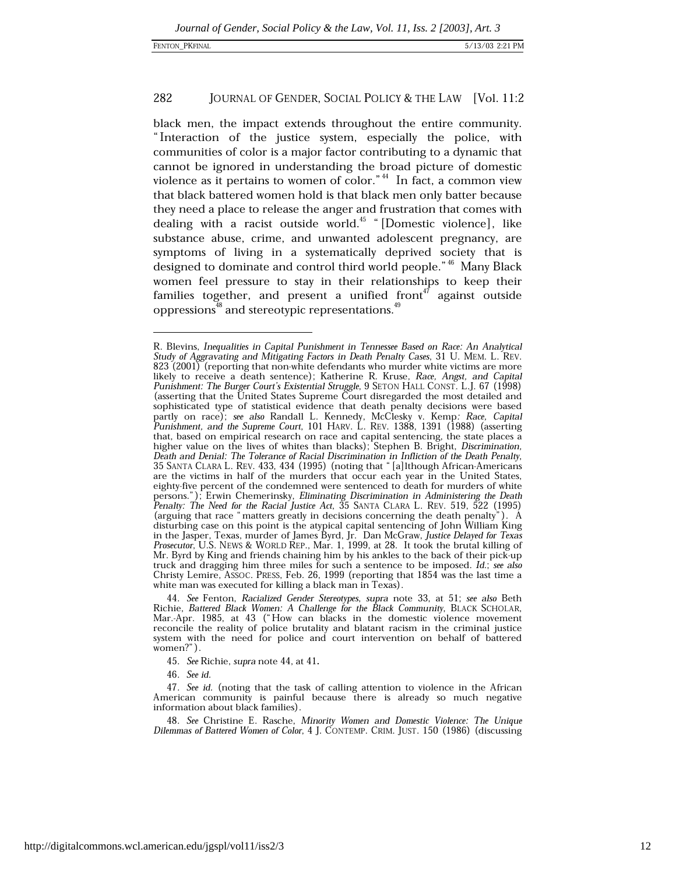black men, the impact extends throughout the entire community. "Interaction of the justice system, especially the police, with communities of color is a major factor contributing to a dynamic that cannot be ignored in understanding the broad picture of domestic violence as it pertains to women of color." $44$  In fact, a common view that black battered women hold is that black men only batter because they need a place to release the anger and frustration that comes with dealing with a racist outside world.<sup>45</sup> "[Domestic violence], like substance abuse, crime, and unwanted adolescent pregnancy, are symptoms of living in a systematically deprived society that is designed to dominate and control third world people."<sup>46</sup> Many Black women feel pressure to stay in their relationships to keep their families together, and present a unified front<sup>47</sup> against outside oppressions<sup>48</sup> and stereotypic representations.<sup>49</sup>

46. See id.

R. Blevins, Inequalities in Capital Punishment in Tennessee Based on Race: An Analytical Study of Aggravating and Mitigating Factors in Death Penalty Cases, 31 U. MEM. L. REV. 823 (2001) (reporting that non-white defendants who murder white victims are more likely to receive a death sentence); Katherine R. Kruse, Race, Angst, and Capital Punishment: The Burger Court's Existential Struggle, 9 SETON HALL CONST. L.J. 67 (1998) (asserting that the United States Supreme Court disregarded the most detailed and sophisticated type of statistical evidence that death penalty decisions were based partly on race); see also Randall L. Kennedy, McClesky v. Kemp: Race, Capital Punishment, and the Supreme Court, 101 HARV. L. REV. 1388, 1391 (1988) (asserting that, based on empirical research on race and capital sentencing, the state places a higher value on the lives of whites than blacks); Stephen B. Bright, Discrimination, Death and Denial: The Tolerance of Racial Discrimination in Infliction of the Death Penalty, 35 SANTA CLARA L. REV. 433, 434 (1995) (noting that "[a]lthough African-Americans are the victims in half of the murders that occ eighty-five percent of the condemned were sentenced to death for murders of white persons."); Erwin Chemerinsky, *Eliminating Discrimination in Administering the Death Penalty: The Need for the Racial Justice Act*, 35 SANTA CLARA L. REV. 519, 522 (1995) (arguing that race "matters greatly in decisions concerning the death penalty"). A disturbing case on this point is the atypical capital sentencing of John William King<br>in the Jasper, Texas, murder of James Byrd, Jr. Dan McGraw, Justice Delayed for Texas<br>Prosecutor, U.S. NEWS & WORLD REP., Mar. 1, 1999, Mr. Byrd by King and friends chaining him by his ankles to the back of their pick-up truck and dragging him three miles for such a sentence to be imposed. Id.; see also Christy Lemire, ASSOC. PRESS, Feb. 26, 1999 (reporting that 1854 was the last time a white man was executed for killing a black man in Texas).

<sup>44.</sup> See Fenton, Racialized Gender Stereotypes, supra note 33, at 51; see also Beth Richie, Battered Black Women: A Challenge for the Black Community, BLACK SCHOLAR, Mar.-Apr. 1985, at 43 ("How can blacks in the domestic violence movement reconcile the reality of police brutality and blatant racism in the criminal justice system with the need for police and court intervention on behalf of battered women?").

<sup>45.</sup> See Richie, supra note 44, at 41.

<sup>47.</sup> See id. (noting that the task of calling attention to violence in the African American community is painful because there is already so much negative information about black families).

<sup>48.</sup> See Christine E. Rasche, Minority Women and Domestic Violence: The Unique Dilemmas of Battered Women of Color, 4 J. CONTEMP. CRIM. JUST. 150 (1986) (discussing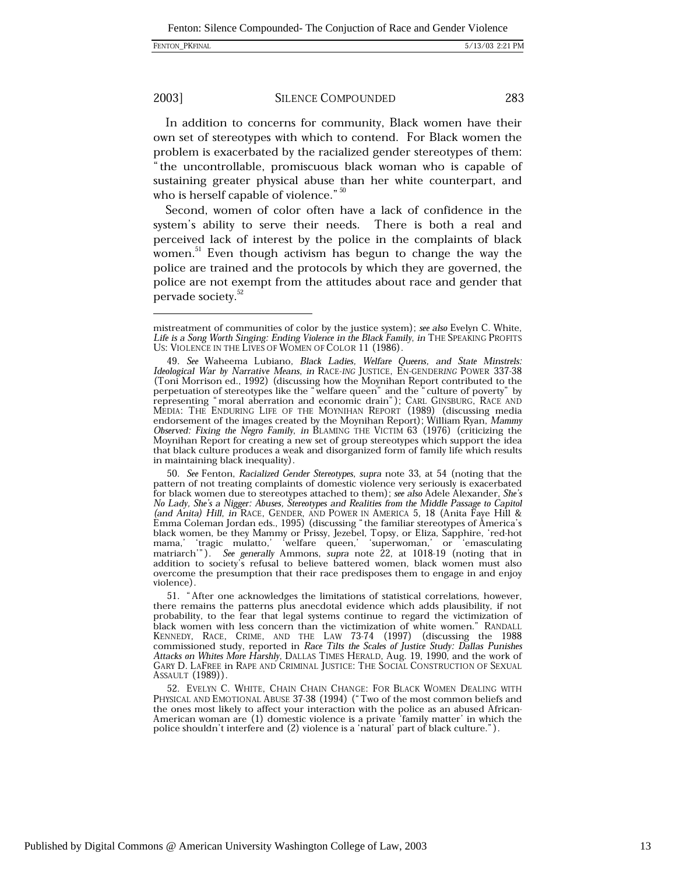### 2003]

### **SILENCE COMPOUNDED**

283

In addition to concerns for community, Black women have their own set of stereotypes with which to contend. For Black women the problem is exacerbated by the racialized gender stereotypes of them: "the uncontrollable, promiscuous black woman who is capable of sustaining greater physical abuse than her white counterpart, and who is herself capable of violence." 50

Second, women of color often have a lack of confidence in the system's ability to serve their needs. There is both a real and perceived lack of interest by the police in the complaints of black women.<sup>51</sup> Even though activism has begun to change the way the police are trained and the protocols by which they are governed, the police are not exempt from the attitudes about race and gender that pervade society.<sup>52</sup>

50. See Fenton, Racialized Gender Stereotypes, supra note 33, at 54 (noting that the pattern of not treating complaints of domestic violence very seriously is exacerbated for black women due to stereotypes attached to them); see also Adele Alexander, She's No Lady, She's a Nigger: Abuses, Stereotypes and Realities from the Middle Passage to Capitol The Lauy, one s a Type T. Antises, Stereotypes and Realities from the Middle Passage to Capitol (and Anita) Hill, in RACE, GENDER, AND POWER IN AMERICA 5, 18 (Anita Faye Hill & Emma Coleman Jordan eds., 1995) (discussing " addition to society's refusal to believe battered women, black women must also overcome the presumption that their race predisposes them to engage in and enjoy violence).

52. EVELYN C. WHITE, CHAIN CHAIN CHANGE: FOR BLACK WOMEN DEALING WITH PHYSICAL AND EMOTIONAL ABUSE 37-38 (1994) ("Two of the most common beliefs and the ones most likely to affect your interaction with the police as an abused African-American woman are (1) domestic violence is a private 'family matter' in which the police shouldn't interfere and (2) violence is a 'natural' part of black culture.").

mistreatment of communities of color by the justice system); see also Evelyn C. White, Life is a Song Worth Singing: Ending Violence in the Black Family, in THE SPEAKING PROFITS US: VIOLENCE IN THE LIVES OF WOMEN OF COLOR 11 (1986).

<sup>49.</sup> See Waheema Lubiano, Black Ladies, Welfare Oueens, and State Minstrels: Ideological War by Narrative Means, in RACE-ING JUSTICE, EN-GENDERING POWER 337-38 (Toni Morrison ed., 1992) (discussing how the Moynihan Report contributed to the perpetuation of stereotypes like the "welfare queen" and the "culture of poverty" by<br>representing "moral aberration and economic drain"); CARL GINSBURG, RACE AND<br>representing "moral aberration and economic drain"); CARL GI endorsement of the images created by the Moynihan Report); William Ryan, Mammy Observed: Fixing the Negro Family, in BLAMING THE VICTIM 63 (1976) (criticizing the Moynihan Report for creating a new set of group stereotypes which support the idea that black culture produces a weak and disorganized form of family life which results in maintaining black inequality).

<sup>51. &</sup>quot;After one acknowledges the limitations of statistical correlations, however, there remains the patterns plus anecdotal evidence which adds plausibility, if not probability, to the fear that legal systems continue to regard the victimization of black women with less concern than the victimization of white women." RANDALL KENNEDY, RACE, CRIME, AND THE LAW 73-74 (1997) (discussing the 1988 commissioned study, reported in Race Tilts the Scales of Justice Study: Dallas Punishes Attacks on Whites More Harshly, DALLAS TIMES HERALD, Aug. 19, 1990, and the work of GARY D. LAFREE in RAPE AND CRIMINAL JUSTICE: THE SOCIAL CONSTRUCTION OF SEXUAL ASSAULT (1989)).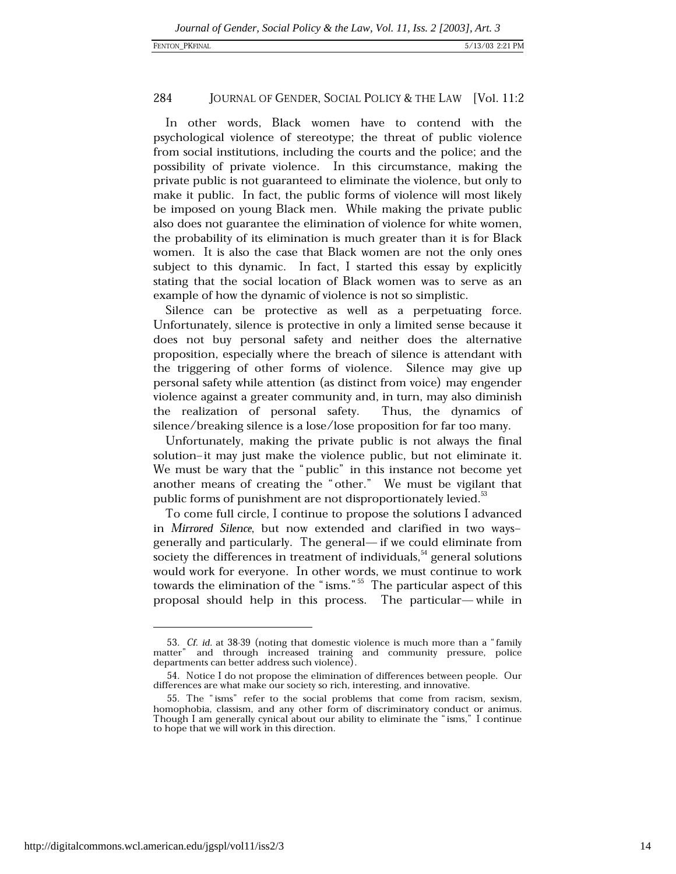In other words, Black women have to contend with the psychological violence of stereotype; the threat of public violence from social institutions, including the courts and the police; and the possibility of private violence. In this circumstance, making the private public is not guaranteed to eliminate the violence, but only to make it public. In fact, the public forms of violence will most likely be imposed on young Black men. While making the private public also does not guarantee the elimination of violence for white women, the probability of its elimination is much greater than it is for Black women. It is also the case that Black women are not the only ones subject to this dynamic. In fact, I started this essay by explicitly stating that the social location of Black women was to serve as an example of how the dynamic of violence is not so simplistic.

Silence can be protective as well as a perpetuating force. Unfortunately, silence is protective in only a limited sense because it does not buy personal safety and neither does the alternative proposition, especially where the breach of silence is attendant with the triggering of other forms of violence. Silence may give up personal safety while attention (as distinct from voice) may engender violence against a greater community and, in turn, may also diminish the realization of personal safety. Thus, the dynamics of silence/breaking silence is a lose/lose proposition for far too many.

Unfortunately, making the private public is not always the final solution-it may just make the violence public, but not eliminate it. We must be wary that the "public" in this instance not become yet another means of creating the "other." We must be vigilant that public forms of punishment are not disproportionately levied.<sup>33</sup>

To come full circle, I continue to propose the solutions I advanced in Mirrored Silence, but now extended and clarified in two waysgenerally and particularly. The general— if we could eliminate from society the differences in treatment of individuals,<sup>54</sup> general solutions would work for everyone. In other words, we must continue to work towards the elimination of the "isms."<sup>55</sup> The particular aspect of this proposal should help in this process. The particular-while in

<sup>53.</sup> Cf. id. at 38-39 (noting that domestic violence is much more than a "family matter" and through increased training and community pressure, police departments can better address such violence).

<sup>54.</sup> Notice I do not propose the elimination of differences between people. Our differences are what make our society so rich, interesting, and innovative.

<sup>55.</sup> The "isms" refer to the social problems that come from racism, sexism, homophobia, classism, and any other form of discriminatory conduct or animus. Though I am generally cynical about our ability to eliminate the "isms," I continue to hope that we will work in this direction.